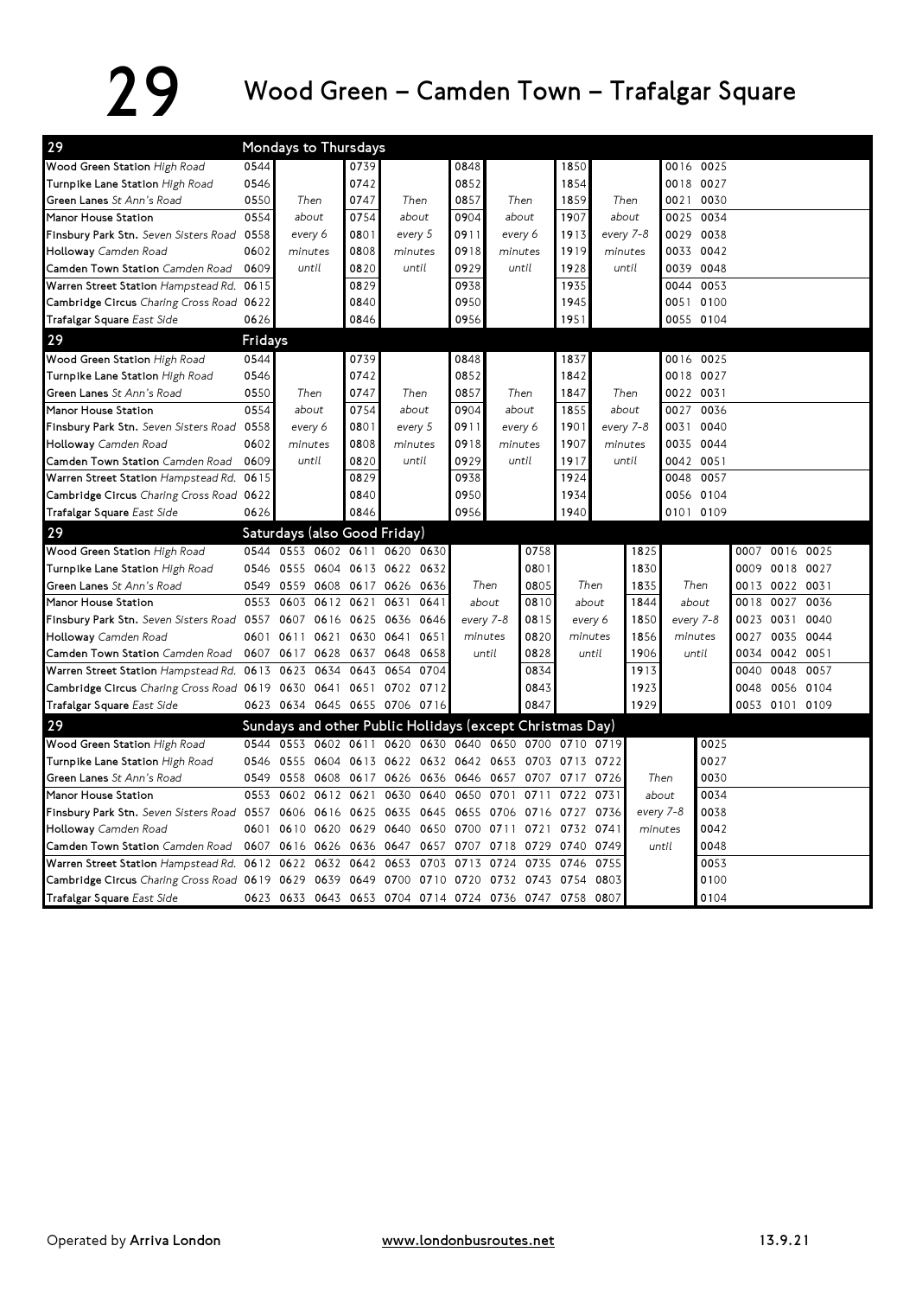## 29 Wood Green – Camden Town – Trafalgar Square

| 29                                                 |         | Mondays to Thursdays                                     |      |                          |           |           |                                                   |           |       |              |           |           |           |           |      |                |                |  |
|----------------------------------------------------|---------|----------------------------------------------------------|------|--------------------------|-----------|-----------|---------------------------------------------------|-----------|-------|--------------|-----------|-----------|-----------|-----------|------|----------------|----------------|--|
| Wood Green Station High Road                       | 0544    |                                                          |      | 0739                     |           |           | 0848                                              |           |       | 1850         |           |           |           | 0016 0025 |      |                |                |  |
| Turnpike Lane Station High Road                    | 0546    |                                                          |      | 0742                     |           |           | 0852                                              |           |       | 1854         |           |           | 0018 0027 |           |      |                |                |  |
| Green Lanes St Ann's Road                          | 0550    | Then                                                     |      | 0747                     | Then      |           | 0857                                              |           | Then  |              | Then      |           | 0021      | 0030      |      |                |                |  |
| Manor House Station                                | 0554    | about                                                    |      | 0754                     |           | about     | 0904                                              | about     |       | 1907         | about     |           | 0025      | 0034      |      |                |                |  |
| Finsbury Park Stn. Seven Sisters Road              | 0558    | every 6                                                  |      | 0801                     |           | every 5   | 0911                                              | every 6   |       | 1913         | every 7-8 |           | 0029      | 0038      |      |                |                |  |
| Holloway Camden Road                               | 0602    | minutes                                                  |      | 0808                     |           | minutes   | 0918                                              | minutes   |       | 1919         | minutes   |           | 0033      | 0042      |      |                |                |  |
| Camden Town Station Camden Road                    | 0609    | until                                                    |      | 0820                     |           | until     | 0929                                              | until     |       | 1928         | until     |           |           | 0039 0048 |      |                |                |  |
| Warren Street Station Hampstead Rd.                | 0615    |                                                          |      | 0829                     |           |           | 0938                                              |           |       | 1935         |           |           | 0044      | 0053      |      |                |                |  |
| Cambridge Circus Charing Cross Road 0622           |         |                                                          |      | 0840                     |           |           | 0950                                              |           |       | 1945         |           |           |           | 0051 0100 |      |                |                |  |
| Trafalgar Square East Side                         | 0626    |                                                          |      | 0846                     |           |           | 0956                                              |           |       | 1951         |           |           |           | 0055 0104 |      |                |                |  |
| 29                                                 | Fridays |                                                          |      |                          |           |           |                                                   |           |       |              |           |           |           |           |      |                |                |  |
| Wood Green Station High Road                       | 0544    |                                                          |      | 0739                     |           |           | 0848                                              |           |       | 1837         |           |           |           | 0016 0025 |      |                |                |  |
| Turnpike Lane Station High Road                    | 0546    |                                                          |      | 0742                     |           |           | 0852                                              |           |       | 1842         |           |           | 0018 0027 |           |      |                |                |  |
| Green Lanes St Ann's Road                          | 0550    | Then                                                     |      | 0747                     |           | Then      | Then<br>0857                                      |           |       | Then<br>1847 |           |           | 0022 0031 |           |      |                |                |  |
| Manor House Station                                | 0554    | about                                                    |      | 0754                     | about     |           | 0904                                              | about     |       | 1855         | about     |           | 0027      | 0036      |      |                |                |  |
| Finsbury Park Stn. Seven Sisters Road 0558         |         | every 6                                                  |      | 0801                     |           | every 5   | 0911                                              | every 6   |       | 1901         | every 7-8 |           | 0031      | 0040      |      |                |                |  |
| Holloway Camden Road                               | 0602    | minutes                                                  |      | 0808                     |           | minutes   | 0918                                              | minutes   |       | 1907         | minutes   |           | 0035      | 0044      |      |                |                |  |
| Camden Town Station Camden Road                    | 0609    | until                                                    |      | 0820                     |           | until     | 0929                                              |           | until | 1917         |           | until     | 0042 0051 |           |      |                |                |  |
| Warren Street Station Hampstead Rd.                | 0615    |                                                          |      | 0829                     |           |           | 0938                                              |           |       | 1924         |           |           | 0048      | 0057      |      |                |                |  |
| Cambridge Circus Charing Cross Road 0622           |         |                                                          |      | 0840                     |           |           | 0950                                              |           |       | 1934         |           |           |           | 0056 0104 |      |                |                |  |
| Trafalgar Square East Side                         | 0626    |                                                          |      | 0846                     |           |           | 0956                                              |           |       | 1940         |           |           | 0101 0109 |           |      |                |                |  |
| 29                                                 |         | Saturdays (also Good Friday)                             |      |                          |           |           |                                                   |           |       |              |           |           |           |           |      |                |                |  |
| Wood Green Station High Road                       | 0544    | 0553 0602 0611                                           |      |                          |           | 0620 0630 |                                                   |           | 0758  |              |           | 1825      |           |           | 0007 |                | 0016 0025      |  |
| Turnpike Lane Station High Road                    | 0546    |                                                          |      | 0555 0604 0613 0622 0632 |           |           |                                                   |           | 0801  |              |           | 1830      |           |           |      |                | 0009 0018 0027 |  |
| Green Lanes St Ann's Road                          | 0549    | 0559 0608                                                |      | 0617 0626                |           | 0636      | Then                                              |           | 0805  | Then         |           | 1835      | Then      |           |      | 0013 0022 0031 |                |  |
| Manor House Station                                | 0553    | 0603                                                     | 0612 | 0621                     | 0631      | 0641      | about                                             |           | 0810  | about        |           | 1844      | about     |           | 0018 | 0027           | 0036           |  |
| Finsbury Park Stn. Seven Sisters Road 0557         |         | 0607                                                     | 0616 | 0625                     | 0636 0646 |           | every 7-8                                         |           | 0815  | every 6      |           | 1850      | every 7-8 |           |      | 0023 0031      | 0040           |  |
| Holloway Camden Road                               | 0601    | 0611                                                     | 0621 | 0630                     | 0641      | 0651      | minutes                                           |           | 0820  | minutes      |           | 1856      | minutes   |           | 0027 |                | 0035 0044      |  |
| Camden Town Station Camden Road                    |         | 0607 0617                                                | 0628 | 0637 0648                |           | 0658      | until                                             |           | 0828  | until        |           | 1906      |           | until     |      | 0034 0042 0051 |                |  |
| Warren Street Station Hampstead Rd. 0613           |         | 0623                                                     | 0634 | 0643                     | 0654      | 0704      |                                                   |           | 0834  |              |           | 1913      |           |           | 0040 | 0048           | 0057           |  |
| Cambridge Circus Charing Cross Road 0619 0630 0641 |         |                                                          |      | 0651                     |           | 0702 0712 |                                                   |           | 0843  |              |           | 1923      |           |           | 0048 | 0056           | 0104           |  |
| Trafalgar Square East Side                         |         | 0623 0634 0645 0655 0706 0716                            |      |                          |           |           |                                                   |           | 0847  |              |           | 1929      |           |           |      |                | 0053 0101 0109 |  |
| 29                                                 |         | Sundays and other Public Holidays (except Christmas Day) |      |                          |           |           |                                                   |           |       |              |           |           |           |           |      |                |                |  |
| Wood Green Station High Road                       |         | 0544 0553 0602 0611 0620 0630 0640 0650 0700 0710 0719   |      |                          |           |           |                                                   |           |       |              |           |           |           | 0025      |      |                |                |  |
| Turnpike Lane Station High Road                    | 0546    |                                                          |      |                          |           |           | 0555 0604 0613 0622 0632 0642 0653 0703 0713 0722 |           |       |              |           |           |           | 0027      |      |                |                |  |
| Green Lanes St Ann's Road                          | 0549    | 0558                                                     |      |                          |           |           | 0608 0617 0626 0636 0646 0657 0707 0717 0726      |           |       |              |           | Then      |           | 0030      |      |                |                |  |
| Manor House Station                                | 0553    | 0602 0612 0621                                           |      |                          |           | 0630 0640 | 0650                                              | 0701      | 0711  | 0722         | 0731      | about     |           | 0034      |      |                |                |  |
| Finsbury Park Stn. Seven Sisters Road 0557         |         | 0606 0616 0625                                           |      |                          | 0635      | 0645      | 0655                                              | 0706 0716 |       | 0727         | 0736      | every 7-8 |           | 0038      |      |                |                |  |
| Holloway Camden Road                               | 0601    | 0610 0620                                                |      | 0629                     | 0640      | 0650      | 0700                                              | 0711 0721 |       | 0732 0741    |           | minutes   |           | 0042      |      |                |                |  |
| Camden Town Station Camden Road                    | 0607    | 0616 0626                                                |      | 0636                     | 0647      | 0657      | 0707                                              | 0718      | 0729  | 0740         | 0749      | until     |           | 0048      |      |                |                |  |
| Warren Street Station Hampstead Rd. 0612 0622      |         |                                                          | 0632 | 0642                     | 0653      | 0703      | 0713                                              | 0724      | 0735  | 0746         | 0755      |           |           | 0053      |      |                |                |  |
| Cambridge Circus Charing Cross Road 0619 0629 0639 |         |                                                          |      | 0649                     |           | 0700 0710 | 0720                                              | 0732 0743 |       | 0754         | 0803      |           |           | 0100      |      |                |                |  |
| Trafalgar Square East Side                         |         | 0623 0633 0643 0653 0704 0714 0724 0736 0747 0758        |      |                          |           |           |                                                   |           |       |              | 0807      |           |           | 0104      |      |                |                |  |